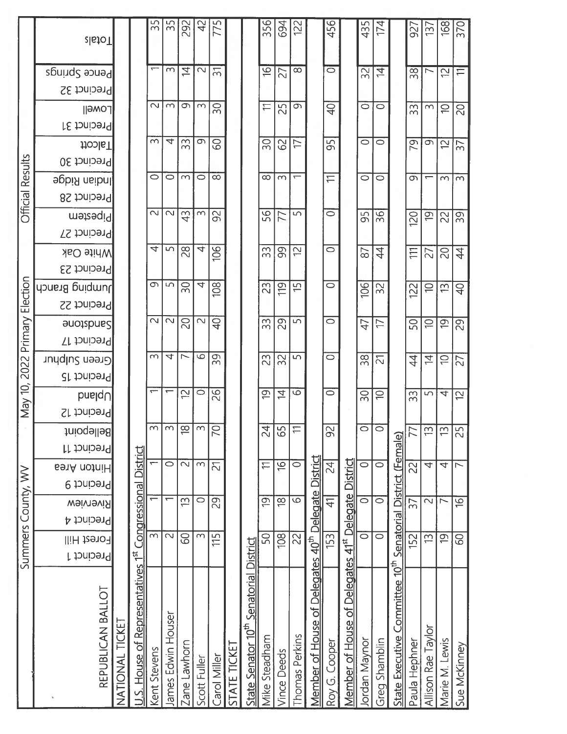|                         | <b>zlatoT</b>                           |                 |                                  | 55             | 55                 | 292                      | 42                  | 775            |              |                                                    | 356                  | 694                | 122                      |                              | 456                  |                                    | 435                | 174                |                           | 927                | 137                       | 168                      |
|-------------------------|-----------------------------------------|-----------------|----------------------------------|----------------|--------------------|--------------------------|---------------------|----------------|--------------|----------------------------------------------------|----------------------|--------------------|--------------------------|------------------------------|----------------------|------------------------------------|--------------------|--------------------|---------------------------|--------------------|---------------------------|--------------------------|
|                         | Pence Springs                           |                 |                                  |                | $\infty$           | $\overline{4}$           | $\sim$              | $\overline{5}$ |              |                                                    | $\overline{6}$       | 27                 | $\infty$                 |                              | $\circ$              |                                    | 32                 | $\overline{4}$     |                           | 38                 | $\overline{ }$            | 12                       |
|                         | Precinct 32                             |                 |                                  |                |                    |                          |                     |                |              |                                                    |                      |                    |                          |                              |                      |                                    |                    |                    |                           |                    |                           |                          |
|                         | $\parallel$ <i>AMO</i>                  |                 |                                  | $\sim$         | $\infty$           | G                        | $\sim$              | $\infty$       |              |                                                    | $\rightleftharpoons$ | 25                 | Ō                        |                              | $\overline{P}$       |                                    | $\circ$            | $\circ$            |                           | $\infty$<br>$\sim$ | $\sim$                    | $\supseteq$              |
|                         | Precinct 31                             |                 |                                  |                |                    |                          |                     |                |              |                                                    |                      |                    |                          |                              |                      |                                    |                    |                    |                           |                    |                           |                          |
|                         | <b>Hoole</b>                            |                 |                                  | $\sim$         | 4                  | 33                       | ᡡ                   | <b>S</b>       |              |                                                    | 30                   | 62                 | 17                       |                              | 95                   |                                    | 0                  | $\circ$            |                           | 79                 | $\sigma$                  | 12                       |
| <b>Official Results</b> | Precinct 30                             |                 |                                  | $\circ$        | $\circ$            | $\infty$                 | $\circ$             | $\infty$       |              |                                                    | $\infty$             | $\sim$             | $\overline{\phantom{0}}$ |                              | $\rightleftharpoons$ |                                    | $\circ$            | $\circ$            |                           | Ō                  | ᡪ                         | $\sim$                   |
|                         | <b>John Ridge</b><br><b>Precinct 28</b> |                 |                                  |                |                    |                          |                     |                |              |                                                    |                      |                    |                          |                              |                      |                                    |                    |                    |                           |                    |                           |                          |
|                         | metem                                   |                 |                                  | $\sim$         | $\sim$             | 43                       | $\infty$            | $\Im$          |              |                                                    | 95                   | 77                 | 5                        |                              | $\circ$              |                                    | 95                 | 36                 |                           |                    | $\overline{0}$            | $\approx$                |
|                         | Precinct 27                             |                 |                                  |                |                    |                          |                     |                |              |                                                    |                      |                    |                          |                              |                      |                                    |                    |                    |                           | 120                |                           |                          |
|                         | <b>White Oak</b>                        |                 |                                  | 4              | 5                  | 28                       | 4                   | 106            |              |                                                    | 33                   | 99                 | 2                        |                              | 0                    |                                    | 87                 | $\ddot{4}$         |                           | Ξ                  | 27                        | $\frac{1}{2}$            |
|                         | Precinct 23                             |                 |                                  |                |                    |                          |                     |                |              |                                                    |                      |                    |                          |                              |                      |                                    |                    |                    |                           |                    |                           |                          |
|                         | Jumping Branch                          |                 |                                  | G              | 5                  | 50                       | 4                   | 108            |              |                                                    | 23                   | $\frac{10}{11}$    | $\frac{5}{1}$            |                              | $\circ$              |                                    | 106                | 32                 |                           | 122                | $\supseteq$               | 13                       |
| Election                | Precinct 22                             |                 |                                  |                |                    |                          |                     |                |              |                                                    |                      |                    |                          |                              |                      |                                    |                    |                    |                           |                    |                           |                          |
|                         | <b>Sandsbroe</b>                        |                 |                                  | $\sim$         | $\sim$             | $\overline{C}$           | $\sim$              | $\overline{P}$ |              |                                                    | S<br>ന്              | 29                 | 5                        |                              | $\circ$              |                                    | $\overline{4}$     | $\overline{\Box}$  |                           | 50                 | $\Xi$                     | $\overline{0}$           |
|                         | Precinct 17                             |                 |                                  |                |                    |                          |                     |                |              |                                                    |                      |                    |                          |                              |                      |                                    |                    |                    |                           |                    |                           |                          |
| 2022 Primary            | Green Sulphur                           |                 |                                  | $\sim$         | 4                  | $\overline{\phantom{0}}$ | $\overline{6}$      | $\sigma$<br>m  |              |                                                    | 23                   | 32                 | 5                        |                              | $\circ$              |                                    | 38                 | $\overline{C}$     |                           | 4                  | 与                         | $\rightleftharpoons$     |
|                         | Precinct 15                             |                 |                                  |                |                    |                          |                     |                |              |                                                    |                      |                    |                          |                              |                      |                                    |                    |                    |                           |                    |                           |                          |
| May 10,                 | $b$ nslqU                               |                 |                                  | ᡪ              |                    | 57                       | $\circ$             | 26             |              |                                                    | $\overline{6}$       | $\overline{4}$     | $\circ$                  |                              | $\circ$              |                                    | 30                 | $\ominus$          |                           | m<br>ന             | S                         | 4                        |
|                         | Precinct 12                             |                 |                                  |                |                    |                          |                     |                |              |                                                    |                      |                    |                          |                              |                      |                                    |                    |                    |                           |                    |                           |                          |
|                         | Bellepoint                              |                 |                                  | $\sim$         | $\infty$           | $\approx$                | $\infty$            | $\overline{C}$ |              |                                                    | 24                   | 65                 | $\rightleftharpoons$     |                              | $\infty$             |                                    | Ö                  | $\circ$            |                           | 77                 | $\overline{\mathfrak{D}}$ | S                        |
|                         | Precinct 11                             |                 |                                  |                | $\circ$            | $\overline{\mathcal{C}}$ | $\overline{\Omega}$ |                |              |                                                    | $\rightleftharpoons$ |                    | $\overline{\circ}$       |                              |                      |                                    | ਠ                  | ਠ                  |                           |                    | $\overline{\tau}$         | $\overline{\mathcal{A}}$ |
|                         | <b>EanA</b> notniH<br>Precinct 9        |                 |                                  |                |                    |                          |                     | 21             |              |                                                    |                      | $\overline{6}$     |                          |                              | $\overline{24}$      |                                    |                    |                    | District (Female)         | 22                 |                           |                          |
|                         | <b>Weivrowig</b>                        |                 |                                  |                |                    | $\widetilde{\Xi}$        | $\circ$             | 29             |              |                                                    | $\overline{6}$       | $\overline{18}$    | $\overline{\mathsf{c}}$  |                              | $\frac{1}{4}$        |                                    | ਠ                  | ਠ                  |                           | $\overline{5}$     | $\overline{\mathcal{C}}$  | $\triangleright$         |
| Summers County, WV      | Precinct 4                              |                 | <b>Congressional District</b>    |                |                    |                          |                     |                |              |                                                    |                      |                    |                          | Delegate District            |                      | 41 <sup>st</sup> Delegate District |                    |                    |                           |                    |                           |                          |
|                         | Forest Hill                             |                 |                                  | $\overline{3}$ | $\sim$             | 89                       | $\infty$            | 115            |              |                                                    | 50                   | 108                | 22                       |                              | 153                  |                                    | $\overline{\circ}$ | $\overline{\circ}$ | Senatorial                | 152                | $\widetilde{\Xi}$         | $\overline{9}$           |
|                         | Precinct 1                              |                 |                                  |                |                    |                          |                     |                |              |                                                    |                      |                    |                          | $-40^{\text{th}}$            |                      |                                    |                    |                    |                           |                    |                           |                          |
|                         |                                         |                 |                                  |                |                    |                          |                     |                |              |                                                    |                      |                    |                          |                              |                      |                                    |                    |                    | $10^{th}$                 |                    |                           |                          |
|                         |                                         |                 |                                  |                |                    |                          |                     |                |              |                                                    |                      |                    |                          |                              |                      |                                    |                    |                    |                           |                    |                           |                          |
|                         |                                         |                 |                                  |                |                    |                          |                     |                |              |                                                    |                      |                    |                          |                              |                      |                                    |                    |                    |                           |                    |                           |                          |
|                         | REPUBLICAN BALLOT                       | NATIONAL TICKET |                                  |                |                    |                          |                     |                |              |                                                    |                      |                    |                          |                              |                      |                                    |                    |                    |                           |                    |                           |                          |
|                         |                                         |                 |                                  |                |                    |                          |                     |                |              |                                                    |                      |                    | Thomas Perkins           |                              |                      |                                    |                    |                    |                           | Paula Hephner      |                           |                          |
|                         |                                         |                 | .S. House of Representatives 1st | Kent Stevens   | James Edwin Houser | Zane Lawhorn             | Scott Fuller        | Carol Miller   | STATE TICKET | State Senator 10 <sup>th</sup> Senatorial District | Mike Steadham        | <b>Vince Deeds</b> |                          | Member of House of Delegates | Roy G. Cooper        | Member of House of Delegates       | Jordan Maynor      | Greg Shamblin      | State Executive Committee |                    | Allison Rae Taylor        | Marie M. Lewis           |
|                         |                                         |                 |                                  |                |                    |                          |                     |                |              |                                                    |                      |                    |                          |                              |                      |                                    |                    |                    |                           |                    |                           |                          |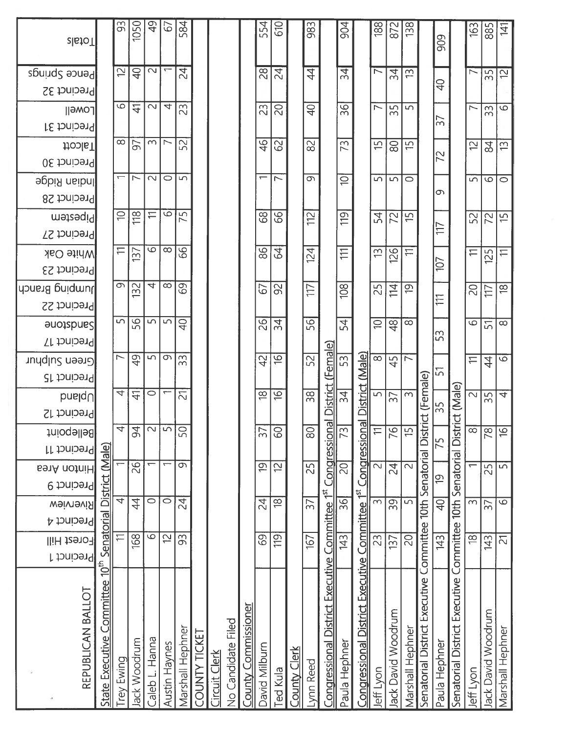| <b>zlatoT</b>                         |                                        | 93<br>5                  | 1050<br>$\overline{P}$   | $\frac{1}{2}$<br>$\sim$ | 67                       | 584<br>$\overline{24}$ |               |                     |                    |                    | 554<br>28                | <b>G10</b><br>24         |                       | 983<br>$\overline{4}$  |                                                | 904<br>$\overline{34}$   |                                                | 188<br>$\overline{\phantom{0}}$ | 872                      | 138<br>$\tilde{E}$ |                               | 909            |                                                            | 163<br>$\overline{\triangleright}$ |                    |
|---------------------------------------|----------------------------------------|--------------------------|--------------------------|-------------------------|--------------------------|------------------------|---------------|---------------------|--------------------|--------------------|--------------------------|--------------------------|-----------------------|------------------------|------------------------------------------------|--------------------------|------------------------------------------------|---------------------------------|--------------------------|--------------------|-------------------------------|----------------|------------------------------------------------------------|------------------------------------|--------------------|
| Pence Springs<br>Precinct 32          |                                        |                          |                          |                         |                          |                        |               |                     |                    |                    |                          |                          |                       |                        |                                                |                          |                                                |                                 | 34                       |                    |                               | <del>ខ្ម</del> |                                                            |                                    | 35                 |
| Lowell<br>Precinct 31                 |                                        | 9                        | $\overline{4}$           | $\sim$                  | 4                        | 23                     |               |                     |                    |                    | 23                       | $\overline{c}$           |                       | $\overline{P}$         |                                                | 36                       |                                                | $\overline{ }$                  | $\overline{5}$<br>$\sim$ | $\sqrt{2}$         |                               | $\frac{1}{2}$  |                                                            | $\overline{ }$                     | $\sim$<br>$\infty$ |
| <b>Hoble</b><br>Precinct 30           |                                        | $\infty$                 | 57                       | $\infty$                | $\overline{\phantom{0}}$ | 52                     |               |                     |                    |                    | $\frac{4}{6}$            | 8                        |                       | $\approx$              |                                                | 73                       |                                                | $\overline{5}$                  | $\rm 80$                 | $\overline{5}$     |                               | 72             |                                                            | 2                                  | 84                 |
| lndian Ridge<br>Precinct 28           |                                        |                          | $\overline{\phantom{0}}$ | $\sim$                  | $\circ$                  | $\sqrt{2}$             |               |                     |                    |                    | $\overline{\phantom{0}}$ | $\overline{\phantom{0}}$ |                       | $\overline{\sigma}$    |                                                | $\supseteq$              |                                                | 5                               | $\sqrt{2}$               | $\circ$            |                               | ന              |                                                            | $\overline{5}$                     | $\circ$            |
| metesem<br>Precinct 27                |                                        | $\Rightarrow$            | $\frac{8}{10}$           | $\rightleftarrows$      | $\circ$                  | 75                     |               |                     |                    |                    | 89                       | 99                       |                       | $\frac{1}{2}$          |                                                | 119                      |                                                | 54                              | 22                       | $\overline{5}$     |                               | 117            |                                                            | 52                                 | $\overline{2}$     |
| <b>Mhite Oak</b><br>Precinct 23       |                                        | $\rightleftharpoons$     | 137                      | $\circ$                 | $\infty$                 | 86                     |               |                     |                    |                    | 86                       | $\mathcal{Q}$            |                       | 124                    |                                                | $\equiv$                 |                                                | 13                              | 126                      | $\rightleftarrows$ |                               | 107            |                                                            | $\rightleftharpoons$               | 125                |
| huping Branch<br>Precinct 22          |                                        | $\circ$                  | $\sim$<br>$\overline{5}$ | $\overline{ }$          | $\infty$                 | 69                     |               |                     |                    |                    | 67                       | 92                       |                       | $\sqrt{17}$            |                                                | 108                      |                                                | 25                              | 14                       | $\overline{Q}$     |                               | TT.            |                                                            | $\overline{C}$                     | 117                |
| sandsbne?<br>Precinct 17              |                                        | $\overline{5}$           | 56                       | $\sqrt{2}$              | 5                        | $rac{1}{4}$            |               |                     |                    |                    | 92                       | 34                       |                       | 56                     |                                                | 54                       |                                                | $\supseteq$                     | $\frac{8}{4}$            | $\infty$           |                               | 53             |                                                            | $\overline{\circ}$                 | 5                  |
| Green Sulphur<br>Precinct 15          |                                        | $\overline{\phantom{0}}$ | $\frac{1}{6}$            | $\Box$                  |                          | ာ $\frac{5}{3}$        |               |                     |                    |                    | $\overline{4}$           | $\frac{9}{2}$            |                       | 52                     | (Female)                                       | 53                       |                                                | $\infty$                        | 45                       | ├╲                 |                               | 57             |                                                            | $\rightleftarrows$                 | $\ddot{4}$         |
| $b$ nslqU<br>Precinct 12              |                                        | 4                        | $\Delta$                 | $\circ$                 |                          | $\overline{\Omega}$    |               |                     |                    |                    | $\frac{8}{10}$           | $\frac{\infty}{2}$       |                       | $\overline{38}$        | <b>District</b>                                | $\frac{4}{3}$            | District (Male)                                |                                 | $\frac{5}{37}$           | $\sim$             | strict (Female)               | 35             | strict (Male)                                              | $\sim$                             | $\frac{5}{3}$      |
| Bellepoint<br>Precinct 11             |                                        | $\overline{4}$           | $\overline{5}$           | $\sim$                  | $\overline{5}$           | 50                     |               |                     |                    |                    | $\overline{\mathcal{E}}$ | 60                       |                       | $\overline{\text{SO}}$ | Congressional                                  | $\overline{73}$          | Congressional                                  | $\equiv$                        | $\overline{\beta}$       | မှာ                |                               | 75             |                                                            | $\overline{\infty}$                | $\infty$           |
| <b>BenA</b> notniH<br>Precinct 9      |                                        |                          | 26                       |                         | $\overline{ }$           | $\overline{\sigma}$    |               |                     |                    |                    | $\overline{6}$           | $\overline{2}$           |                       | 25                     |                                                | $\overline{50}$          |                                                | $\overline{\mathcal{C}}$        | $\overline{4}$           | $\sim$             |                               | $\overline{Q}$ |                                                            |                                    | 25                 |
| <b><i>Nainavigw</i></b><br>Precinct 4 | Senatorial District (Male)             | 4                        | $\overline{4}$           | $\overline{\circ}$      | $\circ$                  | $\overline{24}$        |               |                     |                    |                    | $\overline{2}$           | $\overline{8}$           |                       | $\overline{57}$        |                                                | $\overline{\mathcal{S}}$ |                                                | $\overline{\mathsf{c}}$         | 39                       | $\overline{5}$     |                               | $\overline{Q}$ |                                                            | $\overline{\Omega}$                | $\overline{37}$    |
| Forest Hill<br>Precinct 1             |                                        |                          | 168                      | $\overline{\circ}$      | 12                       | 93                     |               |                     |                    |                    | 89                       | 119                      |                       | 167                    |                                                | 143                      |                                                | 23                              | 137                      | $\overline{C}$     | Committee 10th Senatorial Di  | 143            |                                                            | $\frac{8}{5}$                      | 143                |
| REPUBLICAN BALLOT                     | $10^{th}$<br>State Executive Committee | rey Ewing                | Jack Woodrum             | Caleb L. Hanna          | Austin Haynes            | Marshall Hephner       | COUNTY TICKET | <u>Ircuit Clerk</u> | No Candidate Filed | ounty Commissioner | David Milburn            | ed Kula                  | <b>Clerk</b><br>Clerk | Lynn Reed              | Congressional District Executive Committee 1st | Paula Hephner            | Congressional District Executive Committee 1st | leff Lyon                       | ack David Woodrum        | Marshall Hephner   | Senatorial District Executive | Paula Hephner  | Senatorial District Executive Committee 10th Senatorial Di | leff Lyon                          | Jack David Woodrum |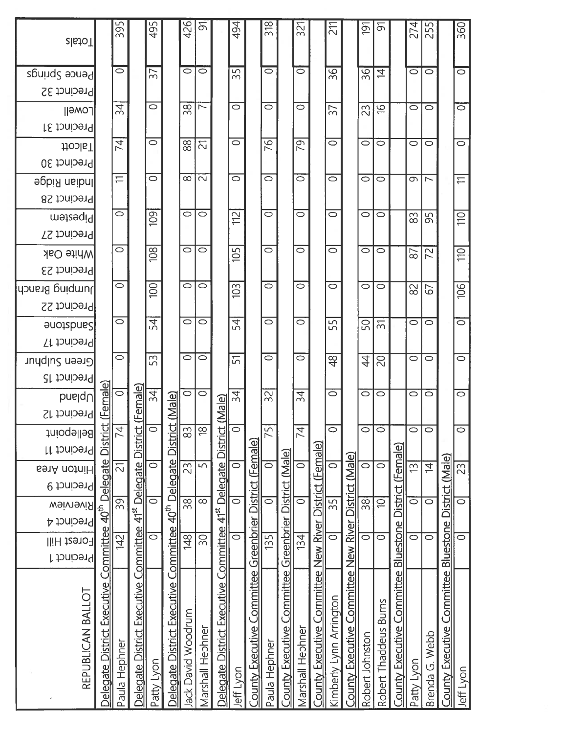| REPUBLICAN BALLOT                                                     | Forest Hill<br>Precinct 1 | <b>weiview</b><br>Precinct 4 | Precinct 9                | Precinct 11<br><b>691A</b> notniH | <b>Bellepoint</b>        | $\mathsf{b}$ nslqU<br>Precinct 12 | Precinct 15 | Precinct 17<br>Green Sulphur | sandsbne2                       | Precinct 22 | Precinct 23<br> dɔnsnd granch | <b>White Oak</b> | Precinct 27 | metesem        | hdian Ridge<br>Precinct 28    | Precinct 30 | Precinct 31<br><b>Hoole</b> | $\parallel$ amo             | Precinct 32 | Pence Springs      | <b>zlstoT</b>  |
|-----------------------------------------------------------------------|---------------------------|------------------------------|---------------------------|-----------------------------------|--------------------------|-----------------------------------|-------------|------------------------------|---------------------------------|-------------|-------------------------------|------------------|-------------|----------------|-------------------------------|-------------|-----------------------------|-----------------------------|-------------|--------------------|----------------|
| Delegate District Executive Committee                                 |                           |                              | 40 <sup>th</sup> Delegate |                                   | 힘<br><u>Disti</u>        | (Female)                          |             |                              |                                 |             |                               |                  |             |                |                               |             |                             |                             |             |                    |                |
| Paula Hephner                                                         | 42                        | $\overline{39}$              |                           | 2                                 | 74                       | $\circ$                           |             | $\circ$                      | $\circ$                         |             | $\circ$                       | $\circ$          |             | $\circ$        | $\rightleftharpoons$          |             | 74                          | 34                          |             | $\circ$            | 395            |
| Delegate District Executive Committee 41 <sup>st</sup> Delegate Distr |                           |                              |                           |                                   |                          | ct (Female)                       |             |                              |                                 |             |                               |                  |             |                |                               |             |                             |                             |             |                    |                |
| Patty Lyon                                                            | $\overline{\circ}$        |                              | ਠ                         | ਠ                                 | $\overline{\circ}$       | $\overline{34}$                   |             | 53                           | $\overline{54}$                 |             | $\overline{100}$              | 108              |             | 109            | $\circ$                       |             | $\circ$                     | $\circ$                     |             | $\overline{57}$    | 495            |
| Delegate District Executive Committee 40 <sup>th</sup> Delegate Dist  |                           |                              |                           |                                   | <u>rict</u>              | <u>(Male</u>                      |             |                              |                                 |             |                               |                  |             |                |                               |             |                             |                             |             |                    |                |
| Jack David Woodrum                                                    | $\frac{1}{48}$            |                              | $\overline{\frac{8}{3}}$  | $\overline{23}$                   | 83                       | $\circ$                           |             | $\circ$                      | $\overline{\circ}$              |             | $\circ$                       | $\circ$          |             | 0              | $\infty$                      |             | 88                          | $\frac{8}{3}$               |             | $\circ$            | 426            |
| Marshall Hephner                                                      | $\overline{30}$           |                              | $\overline{\infty}$       | 5                                 | $\overline{8}$           | $\circ$                           |             | $\circ$                      | $\circ$                         |             | $\circ$                       | $\circ$          |             | $\circ$        | $\sim$                        |             | $\overline{\mathcal{L}}$    | $\overline{\phantom{0}}$    |             | $\circ$            | ଚ              |
| Delegate District Executive Committee 41 <sup>st</sup> Delegate Distr |                           |                              |                           |                                   |                          | ct (Male)                         |             |                              |                                 |             |                               |                  |             |                |                               |             |                             |                             |             |                    |                |
| Jeff Lyon                                                             | $\overline{\circ}$        |                              | ਠ                         | ਠ                                 | $\overline{\circ}$       | 34                                |             | $\overline{51}$              | $\overline{54}$                 |             | 103                           | 105              |             | $\frac{2}{11}$ | $\overline{\circ}$            |             | $\circ$                     | $\overline{\circ}$          |             | 35                 | 494            |
| County Executive Committee Greenbrier District (Female)               |                           |                              |                           |                                   |                          |                                   |             |                              |                                 |             |                               |                  |             |                |                               |             |                             |                             |             |                    |                |
| Paula Hephner                                                         | 135                       |                              | $\overline{\circ}$        | $\circ$                           | 75                       | $\overline{32}$                   |             | $\circ$                      | $\circ$                         |             | $\circ$                       | $\circ$          |             | $\circ$        | $\overline{\circ}$            |             | 76                          | $\circ$                     |             | $\overline{\circ}$ | 318            |
| County Executive Committee Greenbrier District (Male)                 |                           |                              |                           |                                   |                          |                                   |             |                              |                                 |             |                               |                  |             |                |                               |             |                             |                             |             |                    |                |
| Marshall Hephner                                                      | $\frac{134}{5}$           |                              | $\overline{\circ}$        | $\overline{\circ}$                | $\overline{\mathcal{A}}$ | $\overline{34}$                   |             | $\circ$                      | $\circ$                         |             | $\circ$                       | $\circ$          |             | $\circ$        | $\overline{\circ}$            |             | 79                          | $\circ$                     |             | ਠ                  | 321            |
| County Executive Committee New River District (Female)                |                           |                              |                           |                                   |                          |                                   |             |                              |                                 |             |                               |                  |             |                |                               |             |                             |                             |             |                    |                |
| Kimberly Lynn Arrington                                               | $\overline{\circ}$        | 35                           |                           | $\overline{\circ}$                | $\overline{\circ}$       | Ö                                 |             | $\frac{8}{5}$                | 55                              |             | $\circ$                       | $\circ$          |             | $\circ$        | $\circ$                       |             | $\circ$                     | 37                          |             | $\overline{36}$    | $\Xi$          |
| County Executive Committee New River District (Male)                  |                           |                              |                           |                                   |                          |                                   |             |                              |                                 |             |                               |                  |             |                |                               |             |                             |                             |             |                    |                |
| Robert Johnston                                                       | $\overline{\circ}$        | $\overline{38}$              |                           | $\overline{\circ}$                | $\circ$                  | $\circ$                           |             | $\overline{4}$               | 50                              |             | $\circ$                       | $\circ$          |             | $\circ$        | $\circ$                       |             | $\circ$                     | 23                          |             | 36                 | $\overline{9}$ |
| Robert Thaddeus Burns                                                 | $\overline{\circ}$        | $\overline{\ominus}$         |                           | $\overline{\circ}$                | $\circ$                  | $\circ$                           |             | $\overline{5}$               | $\overline{\widetilde{\infty}}$ |             | $\circ$                       | $\circ$          |             | $\circ$        | $\circ$                       |             | $\circ$                     | $\frac{\partial}{\partial}$ |             | $\overline{z}$     | ৯              |
| County Executive Committee Bluestone District (Female)                |                           |                              |                           |                                   |                          |                                   |             |                              |                                 |             |                               |                  |             |                |                               |             |                             |                             |             |                    |                |
| Patty Lyon                                                            | ਠ                         |                              | $\overline{\circ}$        | $\overline{13}$                   | $\circ$                  | $\circ$                           |             | $\circ$                      | $\circ$                         |             | $\approx$                     | 87               |             | 83             | G                             |             | $\circ$                     | 0                           |             | ਠ                  | 274            |
| Brenda G. Webb                                                        | $\overline{\circ}$        |                              | ਠ                         | $\overline{z}$                    | $\circ$                  | $\circ$                           |             | $\circ$                      | $\circ$                         |             | 67                            | 72               |             | 95             | $\overline{\phantom{0}}$      |             | $\circ$                     | $\circ$                     |             | $\overline{\circ}$ | 255            |
| County Executive Committee Bluestone District (Male)                  |                           |                              |                           |                                   |                          |                                   |             |                              |                                 |             |                               |                  |             |                |                               |             |                             |                             |             |                    |                |
| Jeff Lyon                                                             | ਠ                         |                              | ਠ                         | 23                                | $\overline{\circ}$       | $\overline{\circ}$                |             | $\overline{\circ}$           | $\overline{\circ}$              |             | 106                           | 110              |             | $\Xi$          | $\overleftarrow{\phantom{m}}$ |             | $\overline{\circ}$          | ਠ                           |             | ਠ                  | 360            |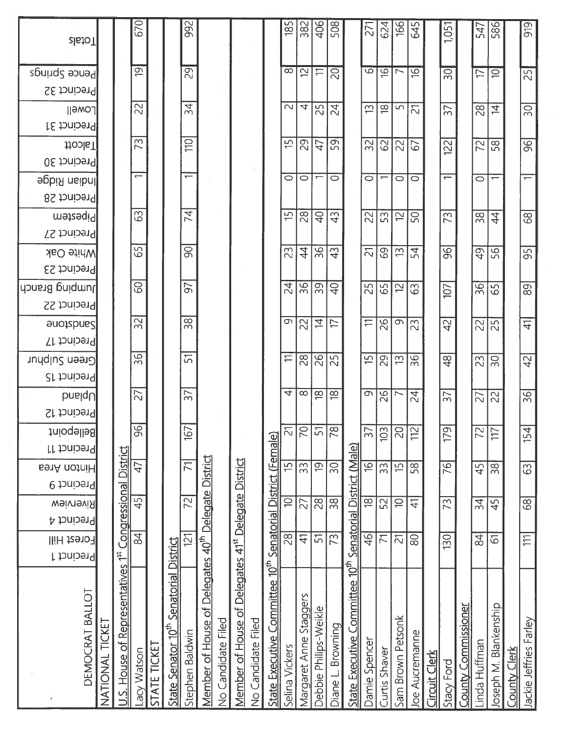| Precinct 30<br>$\overline{\phantom{0}}$<br>$\overline{\phantom{0}}$<br>$\circ$<br>$\circ$<br>$\circ$<br>$\overline{ }$<br>$\overline{\phantom{0}}$<br>$\circ$<br>$\overline{\phantom{m}}$<br>$\circ$<br>$\circ$<br>lndian Ridge<br>$\circ$<br>$\overline{\phantom{0}}$<br>Precinct 28<br>$\overline{74}$<br>63<br>28<br>$\overline{P}$<br>$\overline{1}$<br>$\frac{1}{2}$<br>22<br>53<br>12<br>$\overline{4}$<br>50<br>73<br>$\frac{8}{20}$<br>metesqiq<br>Precinct 27<br>65<br>$\overline{\mathcal{S}}$<br>23<br>$\ddot{4}$<br>36<br>96<br>$\frac{3}{4}$<br>의<br>69<br>54<br>49<br>56<br>$\widetilde{\Xi}$<br><b>Mhite Oak</b><br>Precinct 23<br>$\overline{SO}$<br>57<br>$\overline{36}$<br>$\frac{24}{3}$<br>$\overline{39}$<br>Jumping Branch<br>$\varphi$<br>25<br>65<br>$\overline{\smash{\sim}}$<br>$\overline{36}$<br>63<br>65<br>107<br>Precinct 22<br>32<br>$\overline{38}$<br>9<br>$\overline{4}$<br>$\rightleftarrows$<br>26<br>$\sigma$<br>$\overline{42}$<br>22<br>$\approx$<br>$\overline{\overline{1}}$<br>23<br> %<br><b>Sandsbree</b><br>Precinct 17<br>$\overline{36}$<br>51<br>$\frac{8}{26}$<br>$\rightleftharpoons$<br>$\overline{48}$<br>$\overline{25}$<br>$\overline{1}$<br>29<br>36<br><b>Preen Sulphur</b><br>$\widetilde{\Xi}$<br>30<br>23<br>Precinct 15<br>27<br>$\overline{37}$<br>$\overline{\mathcal{A}}$<br>$\overline{\infty}$<br>$\frac{8}{10}$<br>$\frac{8}{10}$<br>ത  <br>92<br>24<br>$\overline{37}$<br>$\overline{\phantom{0}}$<br>$b$ nsiq $\cup$<br>27<br> ္လ<br>Precinct 12<br>96<br>$\overline{C}$<br>$\overline{78}$<br>$\frac{\text{Sendorial District (Female)}{28} \overline{10} \overline{15} \overline{21}$<br>$\overline{5}$<br>$\overline{SO}$<br>167<br>$\overline{5}$<br>103<br>$\overline{2}$<br>$\overline{9}$<br>$\overline{\mathcal{N}}$<br><b>Bellepoint</b><br>$\approx$<br>≓<br>State Executive Committee 10 <sup>th</sup> Senatorial District (Male)<br>Precinct 11<br><b>Congressional District</b><br>of Delegates 40 <sup>th</sup> Delegate District<br>Member of House of Delegates 41st Delegate District<br>$\overline{7}$<br>$\overline{9}$<br>$\overline{33}$<br>$\overline{\mathfrak{S}}$<br>$\overline{30}$<br>58<br>$\overline{76}$<br>33<br>$\overline{5}$<br>47<br>45<br>$\sqrt{8}$<br>Hinton Area<br>Precinct 9<br>$\overline{45}$<br>$\overline{72}$<br>$\overline{\frac{\infty}{}}$<br>$\overline{8}$<br>$\overline{27}$<br>$\sqrt{38}$<br>52<br>$\overline{34}$<br>$\ominus$<br>$\overline{4}$<br>73<br>45<br><b>M</b> erview<br>Precinct 4<br>84<br>$\frac{1}{4}$<br>$\overline{9}$<br>51<br>73<br>$\overline{SO}$<br>$\overline{2}$<br>130<br>$\overline{2}$<br>$\overline{7}$<br>21<br>61<br>Forest Hill<br><b>District</b><br>House of Representatives 1st<br>Precinct 1<br>State Executive Committee 10 <sup>th</sup><br>Senatorial<br>DEMOCRAT BALLOT<br>Margaret Anne Staggers<br><b>County Commissioner</b><br>Joseph M. Blankenship<br>Debbie Philips-Weikle<br>Sam Brown Petsonk<br>No Candidate Filed<br>No Candidate Filed<br>Member of House<br>NATIONAL TICKET<br>State Senator 10 <sup>th</sup><br>Diane L. Browning<br>Stephen Baldwin<br>Joe Aucremanne<br>Damie Spencer<br>Linda Huffman<br>STATE TICKET<br>Selina Vickers<br>Curtis Shaver<br><b>County Clerk</b><br>acy Watson<br><u> Circuit</u><br>Clerk<br>Stacy Ford<br>$\overline{C}$ |                        |                 |    |    |     |                 |    |                |      |  |      |                |         |                |                            |             |                          |                  |
|-----------------------------------------------------------------------------------------------------------------------------------------------------------------------------------------------------------------------------------------------------------------------------------------------------------------------------------------------------------------------------------------------------------------------------------------------------------------------------------------------------------------------------------------------------------------------------------------------------------------------------------------------------------------------------------------------------------------------------------------------------------------------------------------------------------------------------------------------------------------------------------------------------------------------------------------------------------------------------------------------------------------------------------------------------------------------------------------------------------------------------------------------------------------------------------------------------------------------------------------------------------------------------------------------------------------------------------------------------------------------------------------------------------------------------------------------------------------------------------------------------------------------------------------------------------------------------------------------------------------------------------------------------------------------------------------------------------------------------------------------------------------------------------------------------------------------------------------------------------------------------------------------------------------------------------------------------------------------------------------------------------------------------------------------------------------------------------------------------------------------------------------------------------------------------------------------------------------------------------------------------------------------------------------------------------------------------------------------------------------------------------------------------------------------------------------------------------------------------------------------------------------------------------------------------------------------------------------------------------------------------------------------------------------------------------------------------------------------------------------------------------------------------------------------------------------------------------------------------------------------------------------------------------------------------------------------------------------------------------------------------------------------------------------------------------------------------------------------------------------------------------------------------------------------------------------------------------------------------------------------------------------------------------------------------------------------------------------------|------------------------|-----------------|----|----|-----|-----------------|----|----------------|------|--|------|----------------|---------|----------------|----------------------------|-------------|--------------------------|------------------|
|                                                                                                                                                                                                                                                                                                                                                                                                                                                                                                                                                                                                                                                                                                                                                                                                                                                                                                                                                                                                                                                                                                                                                                                                                                                                                                                                                                                                                                                                                                                                                                                                                                                                                                                                                                                                                                                                                                                                                                                                                                                                                                                                                                                                                                                                                                                                                                                                                                                                                                                                                                                                                                                                                                                                                                                                                                                                                                                                                                                                                                                                                                                                                                                                                                                                                                                                               |                        |                 |    |    |     |                 |    |                |      |  |      |                | Halcott | Precinct 31    | [Jewol                     | Precinct 32 | Pence Springs            | zlstoT           |
|                                                                                                                                                                                                                                                                                                                                                                                                                                                                                                                                                                                                                                                                                                                                                                                                                                                                                                                                                                                                                                                                                                                                                                                                                                                                                                                                                                                                                                                                                                                                                                                                                                                                                                                                                                                                                                                                                                                                                                                                                                                                                                                                                                                                                                                                                                                                                                                                                                                                                                                                                                                                                                                                                                                                                                                                                                                                                                                                                                                                                                                                                                                                                                                                                                                                                                                                               |                        |                 |    |    |     |                 |    |                |      |  |      |                |         |                |                            |             |                          |                  |
|                                                                                                                                                                                                                                                                                                                                                                                                                                                                                                                                                                                                                                                                                                                                                                                                                                                                                                                                                                                                                                                                                                                                                                                                                                                                                                                                                                                                                                                                                                                                                                                                                                                                                                                                                                                                                                                                                                                                                                                                                                                                                                                                                                                                                                                                                                                                                                                                                                                                                                                                                                                                                                                                                                                                                                                                                                                                                                                                                                                                                                                                                                                                                                                                                                                                                                                                               |                        |                 |    |    |     |                 |    |                |      |  |      |                |         |                |                            |             |                          |                  |
|                                                                                                                                                                                                                                                                                                                                                                                                                                                                                                                                                                                                                                                                                                                                                                                                                                                                                                                                                                                                                                                                                                                                                                                                                                                                                                                                                                                                                                                                                                                                                                                                                                                                                                                                                                                                                                                                                                                                                                                                                                                                                                                                                                                                                                                                                                                                                                                                                                                                                                                                                                                                                                                                                                                                                                                                                                                                                                                                                                                                                                                                                                                                                                                                                                                                                                                                               |                        |                 |    |    |     |                 |    |                |      |  |      |                |         | 73             | $\overline{2}$             |             | $\overline{9}$           | 670              |
|                                                                                                                                                                                                                                                                                                                                                                                                                                                                                                                                                                                                                                                                                                                                                                                                                                                                                                                                                                                                                                                                                                                                                                                                                                                                                                                                                                                                                                                                                                                                                                                                                                                                                                                                                                                                                                                                                                                                                                                                                                                                                                                                                                                                                                                                                                                                                                                                                                                                                                                                                                                                                                                                                                                                                                                                                                                                                                                                                                                                                                                                                                                                                                                                                                                                                                                                               |                        |                 |    |    |     |                 |    |                |      |  |      |                |         |                |                            |             |                          |                  |
|                                                                                                                                                                                                                                                                                                                                                                                                                                                                                                                                                                                                                                                                                                                                                                                                                                                                                                                                                                                                                                                                                                                                                                                                                                                                                                                                                                                                                                                                                                                                                                                                                                                                                                                                                                                                                                                                                                                                                                                                                                                                                                                                                                                                                                                                                                                                                                                                                                                                                                                                                                                                                                                                                                                                                                                                                                                                                                                                                                                                                                                                                                                                                                                                                                                                                                                                               |                        |                 |    |    |     |                 |    |                |      |  |      |                |         |                |                            |             |                          |                  |
|                                                                                                                                                                                                                                                                                                                                                                                                                                                                                                                                                                                                                                                                                                                                                                                                                                                                                                                                                                                                                                                                                                                                                                                                                                                                                                                                                                                                                                                                                                                                                                                                                                                                                                                                                                                                                                                                                                                                                                                                                                                                                                                                                                                                                                                                                                                                                                                                                                                                                                                                                                                                                                                                                                                                                                                                                                                                                                                                                                                                                                                                                                                                                                                                                                                                                                                                               |                        |                 |    |    |     |                 |    |                |      |  |      |                |         | 110            | 34                         |             | $\overline{5}$           | 992              |
|                                                                                                                                                                                                                                                                                                                                                                                                                                                                                                                                                                                                                                                                                                                                                                                                                                                                                                                                                                                                                                                                                                                                                                                                                                                                                                                                                                                                                                                                                                                                                                                                                                                                                                                                                                                                                                                                                                                                                                                                                                                                                                                                                                                                                                                                                                                                                                                                                                                                                                                                                                                                                                                                                                                                                                                                                                                                                                                                                                                                                                                                                                                                                                                                                                                                                                                                               |                        |                 |    |    |     |                 |    |                |      |  |      |                |         |                |                            |             |                          |                  |
|                                                                                                                                                                                                                                                                                                                                                                                                                                                                                                                                                                                                                                                                                                                                                                                                                                                                                                                                                                                                                                                                                                                                                                                                                                                                                                                                                                                                                                                                                                                                                                                                                                                                                                                                                                                                                                                                                                                                                                                                                                                                                                                                                                                                                                                                                                                                                                                                                                                                                                                                                                                                                                                                                                                                                                                                                                                                                                                                                                                                                                                                                                                                                                                                                                                                                                                                               |                        |                 |    |    |     |                 |    |                |      |  |      |                |         |                |                            |             |                          |                  |
|                                                                                                                                                                                                                                                                                                                                                                                                                                                                                                                                                                                                                                                                                                                                                                                                                                                                                                                                                                                                                                                                                                                                                                                                                                                                                                                                                                                                                                                                                                                                                                                                                                                                                                                                                                                                                                                                                                                                                                                                                                                                                                                                                                                                                                                                                                                                                                                                                                                                                                                                                                                                                                                                                                                                                                                                                                                                                                                                                                                                                                                                                                                                                                                                                                                                                                                                               |                        |                 |    |    |     |                 |    |                |      |  |      |                |         |                |                            |             |                          |                  |
|                                                                                                                                                                                                                                                                                                                                                                                                                                                                                                                                                                                                                                                                                                                                                                                                                                                                                                                                                                                                                                                                                                                                                                                                                                                                                                                                                                                                                                                                                                                                                                                                                                                                                                                                                                                                                                                                                                                                                                                                                                                                                                                                                                                                                                                                                                                                                                                                                                                                                                                                                                                                                                                                                                                                                                                                                                                                                                                                                                                                                                                                                                                                                                                                                                                                                                                                               |                        |                 |    |    |     |                 |    |                |      |  |      |                |         |                |                            |             |                          |                  |
|                                                                                                                                                                                                                                                                                                                                                                                                                                                                                                                                                                                                                                                                                                                                                                                                                                                                                                                                                                                                                                                                                                                                                                                                                                                                                                                                                                                                                                                                                                                                                                                                                                                                                                                                                                                                                                                                                                                                                                                                                                                                                                                                                                                                                                                                                                                                                                                                                                                                                                                                                                                                                                                                                                                                                                                                                                                                                                                                                                                                                                                                                                                                                                                                                                                                                                                                               |                        |                 |    |    |     |                 |    |                |      |  |      |                |         |                |                            |             |                          |                  |
|                                                                                                                                                                                                                                                                                                                                                                                                                                                                                                                                                                                                                                                                                                                                                                                                                                                                                                                                                                                                                                                                                                                                                                                                                                                                                                                                                                                                                                                                                                                                                                                                                                                                                                                                                                                                                                                                                                                                                                                                                                                                                                                                                                                                                                                                                                                                                                                                                                                                                                                                                                                                                                                                                                                                                                                                                                                                                                                                                                                                                                                                                                                                                                                                                                                                                                                                               |                        |                 |    |    |     |                 |    |                |      |  |      |                |         | $\overline{1}$ | $\sim$                     |             | $\infty$                 | 185              |
|                                                                                                                                                                                                                                                                                                                                                                                                                                                                                                                                                                                                                                                                                                                                                                                                                                                                                                                                                                                                                                                                                                                                                                                                                                                                                                                                                                                                                                                                                                                                                                                                                                                                                                                                                                                                                                                                                                                                                                                                                                                                                                                                                                                                                                                                                                                                                                                                                                                                                                                                                                                                                                                                                                                                                                                                                                                                                                                                                                                                                                                                                                                                                                                                                                                                                                                                               |                        |                 |    |    |     |                 |    |                |      |  |      |                |         | 29             | $\overline{4}$             |             | $\overline{\Xi}$         | 382              |
|                                                                                                                                                                                                                                                                                                                                                                                                                                                                                                                                                                                                                                                                                                                                                                                                                                                                                                                                                                                                                                                                                                                                                                                                                                                                                                                                                                                                                                                                                                                                                                                                                                                                                                                                                                                                                                                                                                                                                                                                                                                                                                                                                                                                                                                                                                                                                                                                                                                                                                                                                                                                                                                                                                                                                                                                                                                                                                                                                                                                                                                                                                                                                                                                                                                                                                                                               |                        |                 |    |    |     |                 |    |                |      |  |      |                |         | 47             | 25                         |             | H                        |                  |
|                                                                                                                                                                                                                                                                                                                                                                                                                                                                                                                                                                                                                                                                                                                                                                                                                                                                                                                                                                                                                                                                                                                                                                                                                                                                                                                                                                                                                                                                                                                                                                                                                                                                                                                                                                                                                                                                                                                                                                                                                                                                                                                                                                                                                                                                                                                                                                                                                                                                                                                                                                                                                                                                                                                                                                                                                                                                                                                                                                                                                                                                                                                                                                                                                                                                                                                                               |                        |                 |    |    |     |                 |    |                |      |  |      |                |         | 59             | $\frac{5}{4}$              |             | 20                       | $rac{406}{508}$  |
|                                                                                                                                                                                                                                                                                                                                                                                                                                                                                                                                                                                                                                                                                                                                                                                                                                                                                                                                                                                                                                                                                                                                                                                                                                                                                                                                                                                                                                                                                                                                                                                                                                                                                                                                                                                                                                                                                                                                                                                                                                                                                                                                                                                                                                                                                                                                                                                                                                                                                                                                                                                                                                                                                                                                                                                                                                                                                                                                                                                                                                                                                                                                                                                                                                                                                                                                               |                        |                 |    |    |     |                 |    |                |      |  |      |                |         |                |                            |             |                          |                  |
|                                                                                                                                                                                                                                                                                                                                                                                                                                                                                                                                                                                                                                                                                                                                                                                                                                                                                                                                                                                                                                                                                                                                                                                                                                                                                                                                                                                                                                                                                                                                                                                                                                                                                                                                                                                                                                                                                                                                                                                                                                                                                                                                                                                                                                                                                                                                                                                                                                                                                                                                                                                                                                                                                                                                                                                                                                                                                                                                                                                                                                                                                                                                                                                                                                                                                                                                               |                        |                 |    |    |     |                 |    |                |      |  |      |                |         | $\frac{2}{3}$  | $\widetilde{\mathfrak{D}}$ |             |                          |                  |
|                                                                                                                                                                                                                                                                                                                                                                                                                                                                                                                                                                                                                                                                                                                                                                                                                                                                                                                                                                                                                                                                                                                                                                                                                                                                                                                                                                                                                                                                                                                                                                                                                                                                                                                                                                                                                                                                                                                                                                                                                                                                                                                                                                                                                                                                                                                                                                                                                                                                                                                                                                                                                                                                                                                                                                                                                                                                                                                                                                                                                                                                                                                                                                                                                                                                                                                                               |                        |                 |    |    |     |                 |    |                |      |  |      |                |         |                | $\overline{8}$             |             | <u>ान्न</u>              | $\frac{27}{200}$ |
|                                                                                                                                                                                                                                                                                                                                                                                                                                                                                                                                                                                                                                                                                                                                                                                                                                                                                                                                                                                                                                                                                                                                                                                                                                                                                                                                                                                                                                                                                                                                                                                                                                                                                                                                                                                                                                                                                                                                                                                                                                                                                                                                                                                                                                                                                                                                                                                                                                                                                                                                                                                                                                                                                                                                                                                                                                                                                                                                                                                                                                                                                                                                                                                                                                                                                                                                               |                        |                 |    |    |     |                 |    |                |      |  |      |                |         | $\frac{2}{2}$  |                            |             | $\overline{\phantom{0}}$ |                  |
|                                                                                                                                                                                                                                                                                                                                                                                                                                                                                                                                                                                                                                                                                                                                                                                                                                                                                                                                                                                                                                                                                                                                                                                                                                                                                                                                                                                                                                                                                                                                                                                                                                                                                                                                                                                                                                                                                                                                                                                                                                                                                                                                                                                                                                                                                                                                                                                                                                                                                                                                                                                                                                                                                                                                                                                                                                                                                                                                                                                                                                                                                                                                                                                                                                                                                                                                               |                        |                 |    |    |     |                 |    |                |      |  |      |                |         | 57             | $\sqrt{5}$                 |             | $\overline{6}$           | 645              |
|                                                                                                                                                                                                                                                                                                                                                                                                                                                                                                                                                                                                                                                                                                                                                                                                                                                                                                                                                                                                                                                                                                                                                                                                                                                                                                                                                                                                                                                                                                                                                                                                                                                                                                                                                                                                                                                                                                                                                                                                                                                                                                                                                                                                                                                                                                                                                                                                                                                                                                                                                                                                                                                                                                                                                                                                                                                                                                                                                                                                                                                                                                                                                                                                                                                                                                                                               |                        |                 |    |    |     |                 |    |                |      |  |      |                |         |                |                            |             |                          |                  |
|                                                                                                                                                                                                                                                                                                                                                                                                                                                                                                                                                                                                                                                                                                                                                                                                                                                                                                                                                                                                                                                                                                                                                                                                                                                                                                                                                                                                                                                                                                                                                                                                                                                                                                                                                                                                                                                                                                                                                                                                                                                                                                                                                                                                                                                                                                                                                                                                                                                                                                                                                                                                                                                                                                                                                                                                                                                                                                                                                                                                                                                                                                                                                                                                                                                                                                                                               |                        |                 |    |    |     |                 |    |                |      |  |      |                | 122     |                | $\overline{57}$            |             | $\overline{50}$          | 1,051            |
|                                                                                                                                                                                                                                                                                                                                                                                                                                                                                                                                                                                                                                                                                                                                                                                                                                                                                                                                                                                                                                                                                                                                                                                                                                                                                                                                                                                                                                                                                                                                                                                                                                                                                                                                                                                                                                                                                                                                                                                                                                                                                                                                                                                                                                                                                                                                                                                                                                                                                                                                                                                                                                                                                                                                                                                                                                                                                                                                                                                                                                                                                                                                                                                                                                                                                                                                               |                        |                 |    |    |     |                 |    |                |      |  |      |                |         |                |                            |             |                          |                  |
|                                                                                                                                                                                                                                                                                                                                                                                                                                                                                                                                                                                                                                                                                                                                                                                                                                                                                                                                                                                                                                                                                                                                                                                                                                                                                                                                                                                                                                                                                                                                                                                                                                                                                                                                                                                                                                                                                                                                                                                                                                                                                                                                                                                                                                                                                                                                                                                                                                                                                                                                                                                                                                                                                                                                                                                                                                                                                                                                                                                                                                                                                                                                                                                                                                                                                                                                               |                        |                 |    |    |     |                 |    |                |      |  |      |                |         | 72             | $\frac{8}{2}$              |             | $\overline{17}$          | 547              |
|                                                                                                                                                                                                                                                                                                                                                                                                                                                                                                                                                                                                                                                                                                                                                                                                                                                                                                                                                                                                                                                                                                                                                                                                                                                                                                                                                                                                                                                                                                                                                                                                                                                                                                                                                                                                                                                                                                                                                                                                                                                                                                                                                                                                                                                                                                                                                                                                                                                                                                                                                                                                                                                                                                                                                                                                                                                                                                                                                                                                                                                                                                                                                                                                                                                                                                                                               |                        |                 |    |    |     |                 |    |                |      |  |      |                |         | ခြိ            | $\overline{4}$             |             | $\overline{Q}$           | 586              |
|                                                                                                                                                                                                                                                                                                                                                                                                                                                                                                                                                                                                                                                                                                                                                                                                                                                                                                                                                                                                                                                                                                                                                                                                                                                                                                                                                                                                                                                                                                                                                                                                                                                                                                                                                                                                                                                                                                                                                                                                                                                                                                                                                                                                                                                                                                                                                                                                                                                                                                                                                                                                                                                                                                                                                                                                                                                                                                                                                                                                                                                                                                                                                                                                                                                                                                                                               |                        |                 |    |    |     |                 |    |                |      |  |      |                |         |                |                            |             |                          |                  |
| 95                                                                                                                                                                                                                                                                                                                                                                                                                                                                                                                                                                                                                                                                                                                                                                                                                                                                                                                                                                                                                                                                                                                                                                                                                                                                                                                                                                                                                                                                                                                                                                                                                                                                                                                                                                                                                                                                                                                                                                                                                                                                                                                                                                                                                                                                                                                                                                                                                                                                                                                                                                                                                                                                                                                                                                                                                                                                                                                                                                                                                                                                                                                                                                                                                                                                                                                                            | Jackie Jeffries Farley | TT <sub>1</sub> | 68 | 63 | 154 | $\overline{36}$ | 42 | $\overline{4}$ | $88$ |  | $68$ | $\overline{a}$ | 96      |                | $\frac{1}{20}$             |             | 25                       | 919              |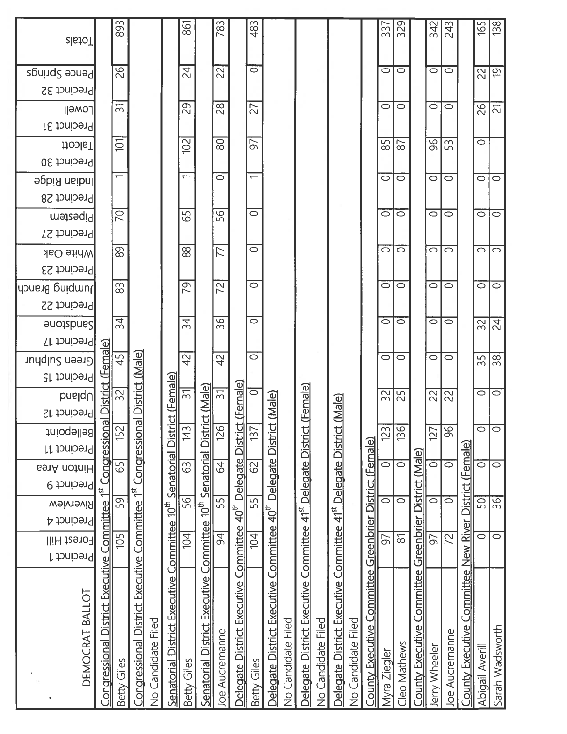| <b>BanA</b> notniH<br>Precinct 9                      | <b>Bellepoint</b><br>Precinct 11                                                      | Precinct 12                                                                                                                                                                                                                                                                                                                                                                                                                             | Precinct 15<br>$p$ uelqU                                          | <b>Green Sulphur</b>                                                                                                                                                                                                                                                                                                                                                                                                                                                | <b>Sandsbree</b><br>Precinct 17 | Precinct 22 | dɔnsɪ8 gniqmul                                                                                | Precinct 23 | Precinct 27<br><b>Mhite Oak</b> | metesqiq | Precinct 28 | luqiau Kidge                                                                                          | Precinct 30 | Precinct 31<br>Talcott | Lowell                                                  | Precinct 32 | Pence Springs                                                                  | zlatoT           |
|-------------------------------------------------------|---------------------------------------------------------------------------------------|-----------------------------------------------------------------------------------------------------------------------------------------------------------------------------------------------------------------------------------------------------------------------------------------------------------------------------------------------------------------------------------------------------------------------------------------|-------------------------------------------------------------------|---------------------------------------------------------------------------------------------------------------------------------------------------------------------------------------------------------------------------------------------------------------------------------------------------------------------------------------------------------------------------------------------------------------------------------------------------------------------|---------------------------------|-------------|-----------------------------------------------------------------------------------------------|-------------|---------------------------------|----------|-------------|-------------------------------------------------------------------------------------------------------|-------------|------------------------|---------------------------------------------------------|-------------|--------------------------------------------------------------------------------|------------------|
| 75t                                                   | Congressional                                                                         |                                                                                                                                                                                                                                                                                                                                                                                                                                         | District (Female)                                                 |                                                                                                                                                                                                                                                                                                                                                                                                                                                                     |                                 |             |                                                                                               |             |                                 |          |             |                                                                                                       |             |                        |                                                         |             |                                                                                |                  |
| 65<br>59                                              | 152                                                                                   |                                                                                                                                                                                                                                                                                                                                                                                                                                         | $\approx$                                                         | 45                                                                                                                                                                                                                                                                                                                                                                                                                                                                  | $\overline{34}$                 |             | $\infty$                                                                                      |             | 89                              | 20       |             | $\overline{\phantom{0}}$                                                                              |             | $\sum$                 | $\overline{\mathfrak{D}}$                               |             | 26                                                                             | 893              |
|                                                       | Congressional District Executive Committee 1st Congressional                          |                                                                                                                                                                                                                                                                                                                                                                                                                                         | District (Male)                                                   |                                                                                                                                                                                                                                                                                                                                                                                                                                                                     |                                 |             |                                                                                               |             |                                 |          |             |                                                                                                       |             |                        |                                                         |             |                                                                                |                  |
|                                                       |                                                                                       |                                                                                                                                                                                                                                                                                                                                                                                                                                         |                                                                   |                                                                                                                                                                                                                                                                                                                                                                                                                                                                     |                                 |             |                                                                                               |             |                                 |          |             |                                                                                                       |             |                        |                                                         |             |                                                                                |                  |
|                                                       | Senatorial District Executive Committee 10 <sup>th</sup> Senatorial District (Female) |                                                                                                                                                                                                                                                                                                                                                                                                                                         |                                                                   |                                                                                                                                                                                                                                                                                                                                                                                                                                                                     |                                 |             |                                                                                               |             |                                 |          |             |                                                                                                       |             |                        |                                                         |             |                                                                                |                  |
| 63<br>56                                              | 43                                                                                    |                                                                                                                                                                                                                                                                                                                                                                                                                                         | $\overline{5}$                                                    | $\overline{4}$                                                                                                                                                                                                                                                                                                                                                                                                                                                      | 34                              |             | $\overline{5}$                                                                                |             | $\overline{8}$                  | 59       |             | $\overline{\phantom{0}}$                                                                              |             | 102                    | 29                                                      |             | $\overline{z}$                                                                 | 861              |
|                                                       |                                                                                       |                                                                                                                                                                                                                                                                                                                                                                                                                                         |                                                                   |                                                                                                                                                                                                                                                                                                                                                                                                                                                                     |                                 |             |                                                                                               |             |                                 |          |             |                                                                                                       |             |                        |                                                         |             |                                                                                |                  |
| 55                                                    |                                                                                       |                                                                                                                                                                                                                                                                                                                                                                                                                                         |                                                                   | 42                                                                                                                                                                                                                                                                                                                                                                                                                                                                  |                                 |             | 22                                                                                            |             |                                 |          |             | $\overline{\circ}$                                                                                    |             |                        |                                                         |             | $\overline{2}$                                                                 | 783              |
|                                                       |                                                                                       |                                                                                                                                                                                                                                                                                                                                                                                                                                         |                                                                   |                                                                                                                                                                                                                                                                                                                                                                                                                                                                     |                                 |             |                                                                                               |             |                                 |          |             |                                                                                                       |             |                        |                                                         |             |                                                                                |                  |
|                                                       |                                                                                       |                                                                                                                                                                                                                                                                                                                                                                                                                                         |                                                                   | $\overline{\circ}$                                                                                                                                                                                                                                                                                                                                                                                                                                                  |                                 |             | $\circ$                                                                                       |             | $\overline{\circ}$              |          |             | $\overline{\phantom{0}}$                                                                              |             |                        |                                                         |             | ਰ                                                                              | 483              |
|                                                       |                                                                                       |                                                                                                                                                                                                                                                                                                                                                                                                                                         |                                                                   |                                                                                                                                                                                                                                                                                                                                                                                                                                                                     |                                 |             |                                                                                               |             |                                 |          |             |                                                                                                       |             |                        |                                                         |             |                                                                                |                  |
|                                                       |                                                                                       |                                                                                                                                                                                                                                                                                                                                                                                                                                         |                                                                   |                                                                                                                                                                                                                                                                                                                                                                                                                                                                     |                                 |             |                                                                                               |             |                                 |          |             |                                                                                                       |             |                        |                                                         |             |                                                                                |                  |
|                                                       |                                                                                       |                                                                                                                                                                                                                                                                                                                                                                                                                                         |                                                                   |                                                                                                                                                                                                                                                                                                                                                                                                                                                                     |                                 |             |                                                                                               |             |                                 |          |             |                                                                                                       |             |                        |                                                         |             |                                                                                |                  |
|                                                       |                                                                                       |                                                                                                                                                                                                                                                                                                                                                                                                                                         |                                                                   |                                                                                                                                                                                                                                                                                                                                                                                                                                                                     |                                 |             |                                                                                               |             |                                 |          |             |                                                                                                       |             |                        |                                                         |             |                                                                                |                  |
|                                                       |                                                                                       |                                                                                                                                                                                                                                                                                                                                                                                                                                         |                                                                   |                                                                                                                                                                                                                                                                                                                                                                                                                                                                     |                                 |             |                                                                                               |             |                                 |          |             |                                                                                                       |             |                        |                                                         |             |                                                                                |                  |
|                                                       |                                                                                       |                                                                                                                                                                                                                                                                                                                                                                                                                                         |                                                                   |                                                                                                                                                                                                                                                                                                                                                                                                                                                                     |                                 |             |                                                                                               |             |                                 |          |             |                                                                                                       |             |                        |                                                         |             |                                                                                |                  |
|                                                       |                                                                                       |                                                                                                                                                                                                                                                                                                                                                                                                                                         |                                                                   |                                                                                                                                                                                                                                                                                                                                                                                                                                                                     |                                 |             |                                                                                               |             |                                 |          |             |                                                                                                       |             |                        |                                                         |             |                                                                                |                  |
| $\overline{\circ}$                                    |                                                                                       |                                                                                                                                                                                                                                                                                                                                                                                                                                         |                                                                   | $\circ$                                                                                                                                                                                                                                                                                                                                                                                                                                                             |                                 |             | $\circ$                                                                                       |             | $\circ$                         |          |             | $\circ$                                                                                               |             |                        |                                                         |             | $\bar{\circ}$                                                                  | 337              |
| $\overline{\circ}$                                    |                                                                                       |                                                                                                                                                                                                                                                                                                                                                                                                                                         |                                                                   | 0                                                                                                                                                                                                                                                                                                                                                                                                                                                                   |                                 |             | $\circ$                                                                                       |             | $\circ$                         |          |             | $\circ$                                                                                               |             |                        |                                                         |             | $\circ$                                                                        | $\overline{329}$ |
| County Executive Committee Greenbrier District (Male) |                                                                                       |                                                                                                                                                                                                                                                                                                                                                                                                                                         |                                                                   |                                                                                                                                                                                                                                                                                                                                                                                                                                                                     |                                 |             |                                                                                               |             |                                 |          |             |                                                                                                       |             |                        |                                                         |             |                                                                                |                  |
| $\overline{\circ}$                                    |                                                                                       |                                                                                                                                                                                                                                                                                                                                                                                                                                         |                                                                   | $\circ$                                                                                                                                                                                                                                                                                                                                                                                                                                                             |                                 |             | $\circ$                                                                                       |             | 0                               |          |             | $\circ$                                                                                               |             |                        |                                                         |             | $\overline{\circ}$                                                             | $\frac{342}{2}$  |
| ਠ                                                     |                                                                                       |                                                                                                                                                                                                                                                                                                                                                                                                                                         |                                                                   | $\circ$                                                                                                                                                                                                                                                                                                                                                                                                                                                             |                                 |             | $\circ$                                                                                       |             | $\circ$                         |          |             | $\circ$                                                                                               |             |                        |                                                         |             | $\overline{\circ}$                                                             | 243              |
|                                                       |                                                                                       |                                                                                                                                                                                                                                                                                                                                                                                                                                         |                                                                   |                                                                                                                                                                                                                                                                                                                                                                                                                                                                     |                                 |             |                                                                                               |             |                                 |          |             |                                                                                                       |             |                        |                                                         |             |                                                                                |                  |
| 50                                                    |                                                                                       |                                                                                                                                                                                                                                                                                                                                                                                                                                         |                                                                   | 55                                                                                                                                                                                                                                                                                                                                                                                                                                                                  |                                 |             | $\circ$                                                                                       |             | $\overline{\circ}$              |          |             | $\circ$                                                                                               |             | $\circ$                |                                                         |             |                                                                                | 165              |
| $\overline{36}$                                       |                                                                                       |                                                                                                                                                                                                                                                                                                                                                                                                                                         |                                                                   | 38 <sub>1</sub>                                                                                                                                                                                                                                                                                                                                                                                                                                                     |                                 |             | $\overline{\circ}$                                                                            |             | $\overline{\circ}$              |          |             | $\overline{\circ}$                                                                                    |             |                        |                                                         |             | $\overline{61}$                                                                | 138              |
|                                                       |                                                                                       | Delegate District Executive Committee 40 <sup>th</sup> Delegate Distr<br>Delegate District Executive Committee 41 <sup>st</sup> Delegate Distri<br>Delegate District Executive Committee 41 <sup>st</sup> Delegate Distri<br>County Executive Committee Greenbrier District (Female)<br>District (Female)<br>64<br>$\overline{\circ}$<br>$\overline{\circ}$<br>$\overline{\circ}$<br>$\overline{\circ}$<br>$\overline{\circ}$<br>$\sum$ | 126<br>136<br>$\overline{96}$<br>123<br>$\circ$<br>$\circ$<br>127 | Delegate District Executive Committee $40^{\text{th}}$ Delegate District (Female)<br>$\frac{32}{100}$ and $\frac{32}{100}$ and $\frac{62}{100}$ and $\frac{62}{100}$ and $\frac{37}{100}$ and $\frac{62}{100}$ and $\frac{62}{100}$ and $\frac{62}{100}$ and $\frac{62}{1$<br>Senatorial District (Male)<br>ct (Female)<br>$\overline{\mathfrak{D}}$<br>$\overline{\circ}$<br>$\overline{\circ}$<br>32<br> ္လ<br>$\approx$<br>$\approx$<br>rict (Male)<br>ct (Male) |                                 |             | 36<br>$\overline{\circ}$<br>$\circ$<br>$\circ$<br>$\circ$<br>$\circ$<br>$\overline{24}$<br>32 |             |                                 | 77       |             | 56<br>$\overline{\circ}$<br>$\overline{\circ}$<br>$\circ$<br>$\circ$<br>$\circ$<br>$\circ$<br>$\circ$ |             |                        | 80<br>50<br>85<br>$\frac{8}{5}$<br>53<br>$\overline{8}$ |             | 28<br>27<br>$\circ$<br>$\circ$<br>$\overline{z_1}$<br>$\circ$<br>$\circ$<br>92 | 22               |